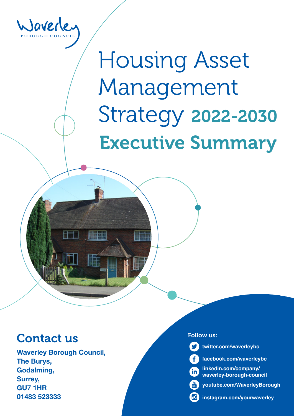

# Housing Asset Management Strategy 2022-2030 Executive Summary

# Contact us

Waverley Borough Council, The Burys, Godalming, Surrey, GU7 1HR 01483 523333

#### Follow us:

**twitter.com/waverleybc**





**youtube.com/WaverleyBorough**

**instagram.com/yourwaverley**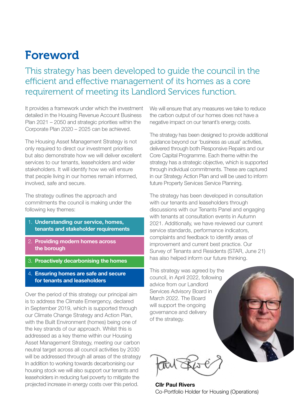# Foreword

This strategy has been developed to guide the council in the efficient and effective management of its homes as a core requirement of meeting its Landlord Services function.

It provides a framework under which the investment detailed in the Housing Revenue Account Business Plan 2021 – 2050 and strategic priorities within the Corporate Plan 2020 – 2025 can be achieved.

The Housing Asset Management Strategy is not only required to direct our investment priorities but also demonstrate how we will deliver excellent services to our tenants, leaseholders and wider stakeholders. It will identify how we will ensure that people living in our homes remain informed, involved, safe and secure.

The strategy outlines the approach and commitments the council is making under the following key themes:

- 1. Understanding our service, homes, tenants and stakeholder requirements
- 2. Providing modern homes across the borough
- 3. Proactively decarbonising the homes
- 4. Ensuring homes are safe and secure for tenants and leaseholders

Over the period of this strategy our principal aim is to address the Climate Emergency, declared in September 2019, which is supported through our Climate Change Strategy and Action Plan, with the Built Environment (homes) being one of the key strands of our approach. Whilst this is addressed as a key theme within our Housing Asset Management Strategy, meeting our carbon neutral target across all council activities by 2030 will be addressed through all areas of the strategy In addition to working towards decarbonising our housing stock we will also support our tenants and leaseholders in reducing fuel poverty to mitigate the projected increase in energy costs over this period.

We will ensure that any measures we take to reduce the carbon output of our homes does not have a negative impact on our tenant's energy costs.

The strategy has been designed to provide additional guidance beyond our 'business as usual' activities, delivered through both Responsive Repairs and our Core Capital Programme. Each theme within the strategy has a strategic objective, which is supported through individual commitments. These are captured in our Strategy Action Plan and will be used to inform future Property Services Service Planning.

The strategy has been developed in consultation with our tenants and leaseholders through discussions with our Tenants Panel and engaging with tenants at consultation events in Autumn 2021. Additionally, we have reviewed our current service standards, performance indicators, complaints and feedback to identify areas of improvement and current best practice. Our Survey of Tenants and Residents (STAR, June 21) has also helped inform our future thinking.

This strategy was agreed by the council, in April 2022, following advice from our Landlord Services Advisory Board in March 2022. The Board will support the ongoing governance and delivery of the strategy.

Cllr Paul Rivers Co-Portfolio Holder for Housing (Operations)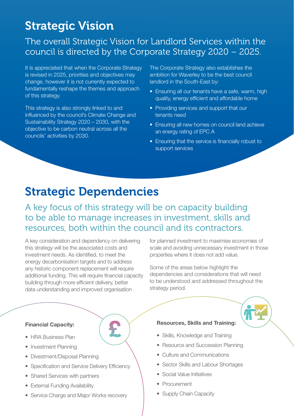# Strategic Vision

### The overall Strategic Vision for Landlord Services within the council is directed by the Corporate Strategy 2020 – 2025.

It is appreciated that when the Corporate Strategy is revised in 2025, priorities and objectives may change, however it is not currently expected to fundamentally reshape the themes and approach of this strategy.

This strategy is also strongly linked to and influenced by the council's Climate Change and Sustainability Strategy 2020 – 2030, with the objective to be carbon neutral across all the councils' activities by 2030.

The Corporate Strategy also establishes the ambition for Waverley to be the best council landlord in the South-East by:

- Ensuring all our tenants have a safe, warm, high quality, energy efficient and affordable home
- Providing services and support that our tenants need
- Ensuring all new homes on council land achieve an energy rating of EPC A
- Ensuring that the service is financially robust to support services

# Strategic Dependencies

A key focus of this strategy will be on capacity building to be able to manage increases in investment, skills and resources, both within the council and its contractors.

A key consideration and dependency on delivering this strategy will be the associated costs and investment needs. As identified, to meet the energy decarbonisation targets and to address any historic component replacement will require additional funding. This will require financial capacity building through more efficient delivery, better data understanding and improved organisation

for planned investment to maximise economies of scale and avoiding unnecessary investment in those properties where it does not add value.

Some of the areas below highlight the dependencies and considerations that will need to be understood and addressed throughout the strategy period.

#### Financial Capacity:

- HRA Business Plan
- Investment Planning
- Divestment/Disposal Planning
- Specification and Service Delivery Efficiency
- Shared Services with partners
- External Funding Availability
- Service Charge and Major Works recovery

#### Resources, Skills and Training:

- Skills, Knowledge and Training
- Resource and Succession Planning
- Culture and Communications
- Sector Skills and Labour Shortages
- Social Value Initiatives
- Procurement
- Supply Chain Capacity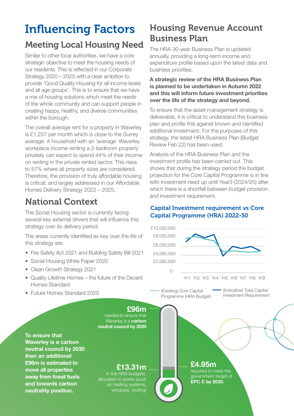# Influencing Factors

### Meeting Local Housing Need

Similar to other local authorities, we have a core strategic objective to meet the housing needs of our residents. This is reflected in our Corporate Strategy 2020 – 2025 with a clear ambition to provide 'Good Quality Housing for all income levels and all age groups'. This is to ensure that we have a mix of housing solutions which meet the needs of the whole community and can support people in creating happy, healthy, and diverse communities within the borough.

The overall average rent for a property in Waverley is £1,257 per month which is close to the Surrey average. A household with an 'average' Waverley workplace income renting a 2-bedroom property privately can expect to spend 44% of their income on renting in the private rented sector. This rises to 57% where all property sizes are considered. Therefore, the provision of truly affordable housing is critical; and largely addressed in our Affordable Homes Delivery Strategy 2022 – 2025.

### National Context

The Social Housing sector is currently facing several key external drivers that will influence this strategy over its delivery period.

The areas currently identified as key over the life of this strategy are:

- Fire Safety Act 2021 and Building Safety Bill 2021
- Social Housing White Paper 2020
- Clean Growth Strategy 2021
- Quality Lifetime Homes the future of the Decent Homes Standard
- Future Homes Standard 2025

### Housing Revenue Account Business Plan

The HRA 30-year Business Plan is updated annually, providing a long-term income and expenditure profile based upon the latest data and business priorities.

#### A strategic review of the HRA Business Plan is planned to be undertaken in Autumn 2022 and this will inform future investment priorities over the life of the strategy and beyond.

To ensure that the asset management strategy is deliverable, it is critical to understand this business plan and profile this against known and identified additional investment. For the purposes of this strategy, the latest HRA Business Plan (Budget Review Feb 22) has been used.

Analysis of the HRA Business Plan and the investment profile has been carried out. This shows that during the strategy period the budget projection for the Core Capital Programme is in line with investment need up until Year3 (2024/25) after which there is a shortfall between budget provision and investment requirement.

#### Capital Investment requirement vs Core Capital Programme (HRA) 2022-30



To ensure that Waverley is a carbon neutral council by 2030 then an additional £96m is estimated to move all properties away from fossil fuels and towards carbon neutrality position.

#### £13.31m

in the HRA budgets, allocated to works (such as heating systems, windows, roofing)

£4.95m

required to meet the government target of EPC C by 2030.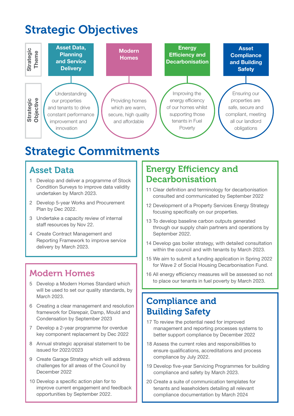# Strategic Objectives



### Asset Data

- 1 Develop and deliver a programme of Stock Condition Surveys to improve data validity undertaken by March 2023.
- 2 Develop 5-year Works and Procurement Plan by Dec 2022.
- 3 Undertake a capacity review of internal staff resources by Nov 22.
- 4 Create Contract Management and Reporting Framework to improve service delivery by March 2023.

### Modern Homes

- 5 Develop a Modern Homes Standard which will be used to set our quality standards, by March 2023.
- 6 Creating a clear management and resolution framework for Disrepair, Damp, Mould and Condensation by September 2023
- 7 Develop a 2-year programme for overdue key component replacement by Dec 2022
- 8 Annual strategic appraisal statement to be issued for 2022/2023
- 9 Create Garage Strategy which will address challenges for all areas of the Council by December 2022
- 10 Develop a specific action plan for to improve current engagement and feedback opportunities by September 2022.

### Energy Efficiency and Decarbonisation

- 11 Clear definition and terminology for decarbonisation consulted and communicated by September 2022
- 12 Development of a Property Services Energy Strategy focusing specifically on our properties.
- 13 To develop baseline carbon outputs generated through our supply chain partners and operations by September 2022.
- 14 Develop gas boiler strategy, with detailed consultation within the council and with tenants by March 2023.
- 15 We aim to submit a funding application in Spring 2022 for Wave 2 of Social Housing Decarbonisation Fund.
- 16 All energy efficiency measures will be assessed so not to place our tenants in fuel poverty by March 2023.

### Compliance and Building Safety

- 17 To review the potential need for improved management and reporting processes systems to better support compliance by December 2022
- 18 Assess the current roles and responsibilities to ensure qualifications, accreditations and process compliance by July 2022.
- 19 Develop five-year Servicing Programmes for building compliance and safety by March 2023.
- 20 Create a suite of communication templates for tenants and leaseholders detailing all relevant compliance documentation by March 2024